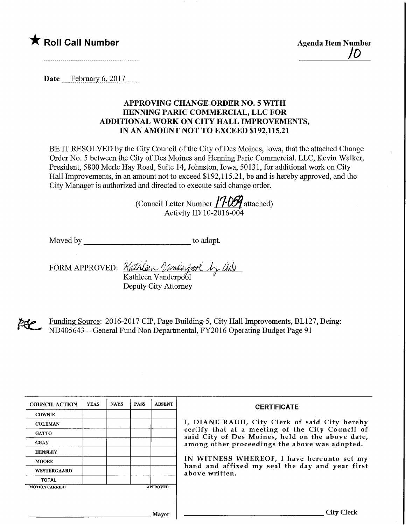## $\bigstar$  Roll Call Number  $\bigstar$  Agenda Item Number

ID

Date February 6, 2017

## APPROVING CHANGE ORDER NO. 5 WITH HENNING PARIC COMMERCIAL, LLC FOR ADDITIONAL WORK ON CITY HALL IMPROVEMENTS, IN AN AMOUNT NOT TO EXCEED \$192,115.21

BE IT RESOLVED by the City Council of the City of Des Moines, Iowa, that the attached Change Order No. 5 between the City of Des Moines and Henning Paric Commercial, LLC, Kevin Walker, President, 5800 Merle Hay Road, Suite 14, Johnston, Iowa, 50131, for additional work on City Hall Improvements, in an amount not to exceed \$192,115.21, be and is hereby approved, and the City Manager is authorized and directed to execute said change order.

(Council Letter Number  $/7$ -D5 $\gamma$  attached) Activity ID 10-2016-004

Moved by to adopt.

FORM APPROVED: *Kathlern Vande Arol by U*L Kathleen Vanderpool  $\frac{3}{4}$ 

Deputy City Attorney

ELP.

Funding Source: 2016-2017 CIP, Page Building-5, City Hall Improvements, BL127, Being: ND405643 - General Fund Non Departmental, FY2016 Operating Budget Page 91

| <b>COUNCIL ACTION</b> | <b>YEAS</b> | <b>NAYS</b> | <b>PASS</b> | <b>ABSENT</b>   | <b>CERTIFICATE</b>                                                                                   |  |  |  |  |
|-----------------------|-------------|-------------|-------------|-----------------|------------------------------------------------------------------------------------------------------|--|--|--|--|
| <b>COWNIE</b>         |             |             |             |                 |                                                                                                      |  |  |  |  |
| <b>COLEMAN</b>        |             |             |             |                 | I, DIANE RAUH, City Clerk of said City hereby                                                        |  |  |  |  |
| <b>GATTO</b>          |             |             |             |                 | certify that at a meeting of the City Council of<br>said City of Des Moines, held on the above date, |  |  |  |  |
| <b>GRAY</b>           |             |             |             |                 | among other proceedings the above was adopted.                                                       |  |  |  |  |
| <b>HENSLEY</b>        |             |             |             |                 |                                                                                                      |  |  |  |  |
| <b>MOORE</b>          |             |             |             |                 | IN WITNESS WHEREOF, I have hereunto set my<br>hand and affixed my seal the day and year first        |  |  |  |  |
| <b>WESTERGAARD</b>    |             |             |             |                 | above written.                                                                                       |  |  |  |  |
| <b>TOTAL</b>          |             |             |             |                 |                                                                                                      |  |  |  |  |
| <b>MOTION CARRIED</b> |             |             |             | <b>APPROVED</b> |                                                                                                      |  |  |  |  |
|                       |             |             |             |                 |                                                                                                      |  |  |  |  |
|                       |             |             |             |                 |                                                                                                      |  |  |  |  |
|                       |             |             |             | Mavor           | <b>City Clerk</b>                                                                                    |  |  |  |  |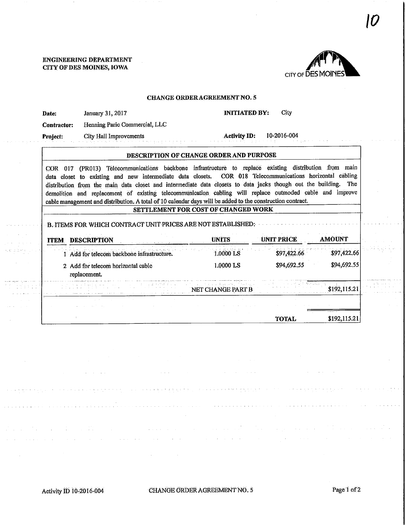a sa salah sahiji désa

والجاري المتعود والواري والم

 $\mathcal{A}^{\mathcal{A}}$ 



## CHANGE ORDER AGREEMENT NO. 5

| Date:       | January 31, 2017                                                                                                                                                                                                                                                                                                                                                                                                                                                                                                                                               | <b>INITIATED BY:</b><br>City            |                   |               |  |
|-------------|----------------------------------------------------------------------------------------------------------------------------------------------------------------------------------------------------------------------------------------------------------------------------------------------------------------------------------------------------------------------------------------------------------------------------------------------------------------------------------------------------------------------------------------------------------------|-----------------------------------------|-------------------|---------------|--|
| Contractor: | Henning Paric Commercial, LLC                                                                                                                                                                                                                                                                                                                                                                                                                                                                                                                                  |                                         |                   |               |  |
| Project:    | <b>City Hall Improvements</b>                                                                                                                                                                                                                                                                                                                                                                                                                                                                                                                                  | <b>Activity ID:</b>                     | 10-2016-004       |               |  |
|             |                                                                                                                                                                                                                                                                                                                                                                                                                                                                                                                                                                | DESCRIPTION OF CHANGE ORDER AND PURPOSE |                   |               |  |
|             | COR 017 (PR013) Telecommunications backbone infrastructure to replace existing distribution from main<br>data closet to existing and new intermediate data closets. COR 018 Telecommunications horizontal cabling<br>distribution from the main data closet and intermediate data closets to data jacks though out the building. The<br>demolition and replacement of existing telecommunication cabiing will replace outmoded cable and improve<br>cable management and distribution. A total of 10 calendar days will be added to the construction contract. |                                         |                   |               |  |
|             |                                                                                                                                                                                                                                                                                                                                                                                                                                                                                                                                                                | SETTLEMENT FOR COST OF CHANGED WORK     |                   |               |  |
|             | B. ITEMS FOR WHICH CONTRACT UNIT PRICES ARE NOT ESTABLISHED:                                                                                                                                                                                                                                                                                                                                                                                                                                                                                                   |                                         |                   |               |  |
|             | <b>ITEM DESCRIPTION</b>                                                                                                                                                                                                                                                                                                                                                                                                                                                                                                                                        | <b>UNITS</b>                            | <b>UNIT PRICE</b> | <b>AMOUNT</b> |  |
|             | 1 Add for telecom backbone infrastructure.                                                                                                                                                                                                                                                                                                                                                                                                                                                                                                                     | 1.0000 LS                               | \$97,422.66       | \$97,422.66   |  |
|             | 2 Add for telecom horizontal cable<br>replacement.                                                                                                                                                                                                                                                                                                                                                                                                                                                                                                             | 1.0000 LS                               | \$94,692.55       | \$94,692.55   |  |
|             |                                                                                                                                                                                                                                                                                                                                                                                                                                                                                                                                                                | NET CHANGE PART B                       |                   | \$192,115.21  |  |
|             |                                                                                                                                                                                                                                                                                                                                                                                                                                                                                                                                                                |                                         |                   |               |  |

 $\sim$   $\sim$ 

. . . . . . .

isi iyo ji

ang Alasi.<br>Kabupatèn Pala

 $\omega = \omega$ 

the contract of the contract of the contract of the contract of the contract of the contract of the contract of the contract of the contract of the contract of the contract of the contract of the contract of the contract o

de la composición de la componentación de la componentación de la componentación de la componentación de la co<br>La componentación de la componentación de la componentación de la componentación de la componentación de la co

 $\mathcal{L}^{\mathcal{L}}(\mathcal{L}^{\mathcal{L}}(\mathcal{L}^{\mathcal{L}}(\mathcal{L}^{\mathcal{L}}(\mathcal{L}^{\mathcal{L}}(\mathcal{L}^{\mathcal{L}}(\mathcal{L}^{\mathcal{L}})))$ 

 $\alpha$  and  $\alpha$ 

 $\sim 10^{-1}$  $\sim$ 

where  $\mathcal{L}(\mathcal{L}(\mathcal{L},\mathcal{L},\mathcal{L},\mathcal{L},\mathcal{L},\mathcal{L},\mathcal{L},\mathcal{L},\mathcal{L},\mathcal{L},\mathcal{L},\mathcal{L},\mathcal{L},\mathcal{L},\mathcal{L},\mathcal{L},\mathcal{L},\mathcal{L},\mathcal{L},\mathcal{L})$ 

and a straight and a

 $\Delta \sim 10^7$ 

**Contractor** 

in 1

 $\mathcal{A}=\{A_1,\ldots,A_n\}$ 

 $\sim 10^{11}$  km

 $\Delta \sim 10^{11}$  km

 $\alpha$  , and  $\alpha$  , and  $\alpha$  , and  $\alpha$  , and  $\alpha$  , and  $\alpha$ 

 $\Delta$  , we can consider the constant  $\Delta$  , we can consider the  $\Delta$ 

 $\mathcal{L}(\mathcal{A},\mathcal{A})$  and  $\mathcal{L}(\mathcal{A},\mathcal{A})$  and

and a straight and a straight

 $\sim 1$ 

design and control of the property of the

 $\sim$ 

and dealership and

 $\mathcal{A}$  and  $\mathcal{A}$  are  $\mathcal{A}$ 

 $\sim$ 

 $\alpha$  ,  $\alpha$  ,  $\alpha$ 

and a series of

and a state of the